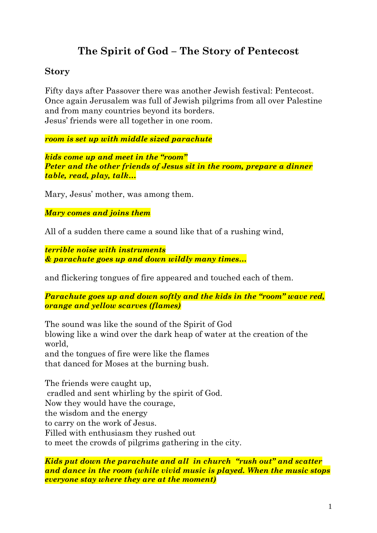# **The Spirit of God – The Story of Pentecost**

# **Story**

Fifty days after Passover there was another Jewish festival: Pentecost. Once again Jerusalem was full of Jewish pilgrims from all over Palestine and from many countries beyond its borders. Jesus' friends were all together in one room.

*room is set up with middle sized parachute*

*kids come up and meet in the "room" Peter and the other friends of Jesus sit in the room, prepare a dinner table, read, play, talk…*

Mary, Jesus' mother, was among them.

*Mary comes and joins them*

All of a sudden there came a sound like that of a rushing wind,

*terrible noise with instruments & parachute goes up and down wildly many times…*

and flickering tongues of fire appeared and touched each of them.

*Parachute goes up and down softly and the kids in the "room" wave red, orange and yellow scarves (flames)*

The sound was like the sound of the Spirit of God blowing like a wind over the dark heap of water at the creation of the world, and the tongues of fire were like the flames that danced for Moses at the burning bush.

The friends were caught up, cradled and sent whirling by the spirit of God. Now they would have the courage, the wisdom and the energy to carry on the work of Jesus. Filled with enthusiasm they rushed out to meet the crowds of pilgrims gathering in the city.

*Kids put down the parachute and all in church "rush out" and scatter and dance in the room (while vivid music is played. When the music stops everyone stay where they are at the moment)*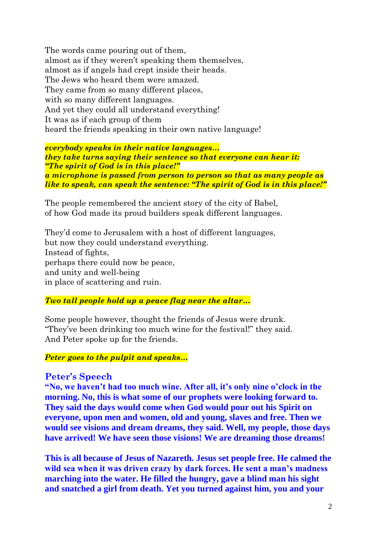The words came pouring out of them, almost as if they weren't speaking them themselves, almost as if angels had crept inside their heads. The Jews who heard them were amazed. They came from so many different places, with so many different languages. And yet they could all understand everything! It was as if each group of them heard the friends speaking in their own native language!

*everybody speaks in their native languages… they take turns saying their sentence so that everyone can hear it: "The spirit of God is in this place!" a microphone is passed from person to person so that as many people as like to speak, can speak the sentence: "The spirit of God is in this place!"*

The people remembered the ancient story of the city of Babel, of how God made its proud builders speak different languages.

They'd come to Jerusalem with a host of different languages, but now they could understand everything. Instead of fights, perhaps there could now be peace, and unity and well-being in place of scattering and ruin.

### *Two tall people hold up a peace flag near the altar…*

Some people however, thought the friends of Jesus were drunk. "They've been drinking too much wine for the festival!" they said. And Peter spoke up for the friends.

#### *Peter goes to the pulpit and speaks…*

### **Peter's Speech**

**"No, we haven't had too much wine. After all, it's only nine o'clock in the morning. No, this is what some of our prophets were looking forward to. They said the days would come when God would pour out his Spirit on everyone, upon men and women, old and young, slaves and free. Then we would see visions and dream dreams, they said. Well, my people, those days have arrived! We have seen those visions! We are dreaming those dreams!**

**This is all because of Jesus of Nazareth. Jesus set people free. He calmed the wild sea when it was driven crazy by dark forces. He sent a man's madness marching into the water. He filled the hungry, gave a blind man his sight and snatched a girl from death. Yet you turned against him, you and your**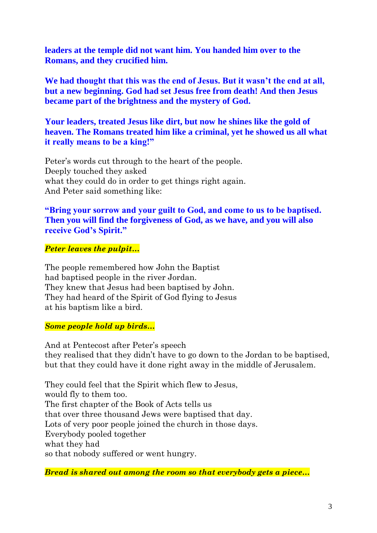**leaders at the temple did not want him. You handed him over to the Romans, and they crucified him.**

**We had thought that this was the end of Jesus. But it wasn't the end at all, but a new beginning. God had set Jesus free from death! And then Jesus became part of the brightness and the mystery of God.** 

**Your leaders, treated Jesus like dirt, but now he shines like the gold of heaven. The Romans treated him like a criminal, yet he showed us all what it really means to be a king!"**

Peter's words cut through to the heart of the people. Deeply touched they asked what they could do in order to get things right again. And Peter said something like:

## **"Bring your sorrow and your guilt to God, and come to us to be baptised. Then you will find the forgiveness of God, as we have, and you will also receive God's Spirit."**

### *Peter leaves the pulpit…*

The people remembered how John the Baptist had baptised people in the river Jordan. They knew that Jesus had been baptised by John. They had heard of the Spirit of God flying to Jesus at his baptism like a bird.

#### *Some people hold up birds…*

And at Pentecost after Peter's speech they realised that they didn't have to go down to the Jordan to be baptised, but that they could have it done right away in the middle of Jerusalem.

They could feel that the Spirit which flew to Jesus, would fly to them too. The first chapter of the Book of Acts tells us that over three thousand Jews were baptised that day. Lots of very poor people joined the church in those days. Everybody pooled together what they had so that nobody suffered or went hungry.

*Bread is shared out among the room so that everybody gets a piece…*